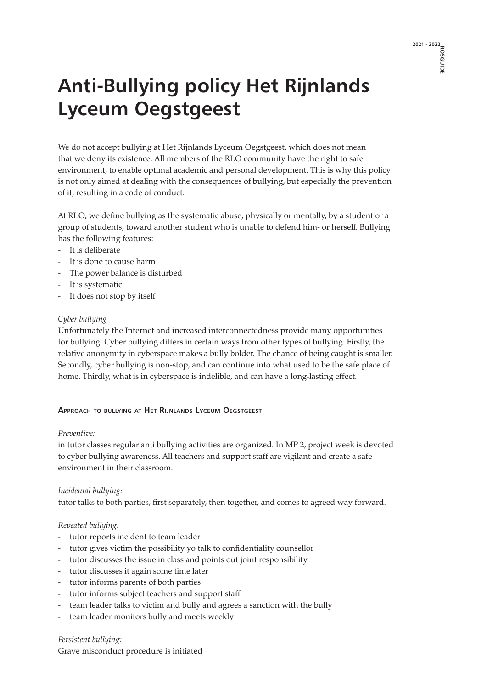# **2021 - 2022 ROSGUIDE**

# **Anti-Bullying policy Het Rijnlands Lyceum Oegstgeest**

We do not accept bullying at Het Rijnlands Lyceum Oegstgeest, which does not mean that we deny its existence. All members of the RLO community have the right to safe environment, to enable optimal academic and personal development. This is why this policy is not only aimed at dealing with the consequences of bullying, but especially the prevention of it, resulting in a code of conduct.

At RLO, we define bullying as the systematic abuse, physically or mentally, by a student or a group of students, toward another student who is unable to defend him- or herself. Bullying has the following features:

- It is deliberate
- It is done to cause harm
- The power balance is disturbed
- It is systematic
- It does not stop by itself

## *Cyber bullying*

Unfortunately the Internet and increased interconnectedness provide many opportunities for bullying. Cyber bullying differs in certain ways from other types of bullying. Firstly, the relative anonymity in cyberspace makes a bully bolder. The chance of being caught is smaller. Secondly, cyber bullying is non-stop, and can continue into what used to be the safe place of home. Thirdly, what is in cyberspace is indelible, and can have a long-lasting effect.

#### **Approach to bullying at Het Rijnlands Lyceum Oegstgeest**

#### *Preventive:*

in tutor classes regular anti bullying activities are organized. In MP 2, project week is devoted to cyber bullying awareness. All teachers and support staff are vigilant and create a safe environment in their classroom.

#### *Incidental bullying:*

tutor talks to both parties, first separately, then together, and comes to agreed way forward.

# *Repeated bullying:*

- tutor reports incident to team leader
- tutor gives victim the possibility yo talk to confidentiality counsellor
- tutor discusses the issue in class and points out joint responsibility
- tutor discusses it again some time later
- tutor informs parents of both parties
- tutor informs subject teachers and support staff
- team leader talks to victim and bully and agrees a sanction with the bully
- team leader monitors bully and meets weekly

*Persistent bullying:* Grave misconduct procedure is initiated